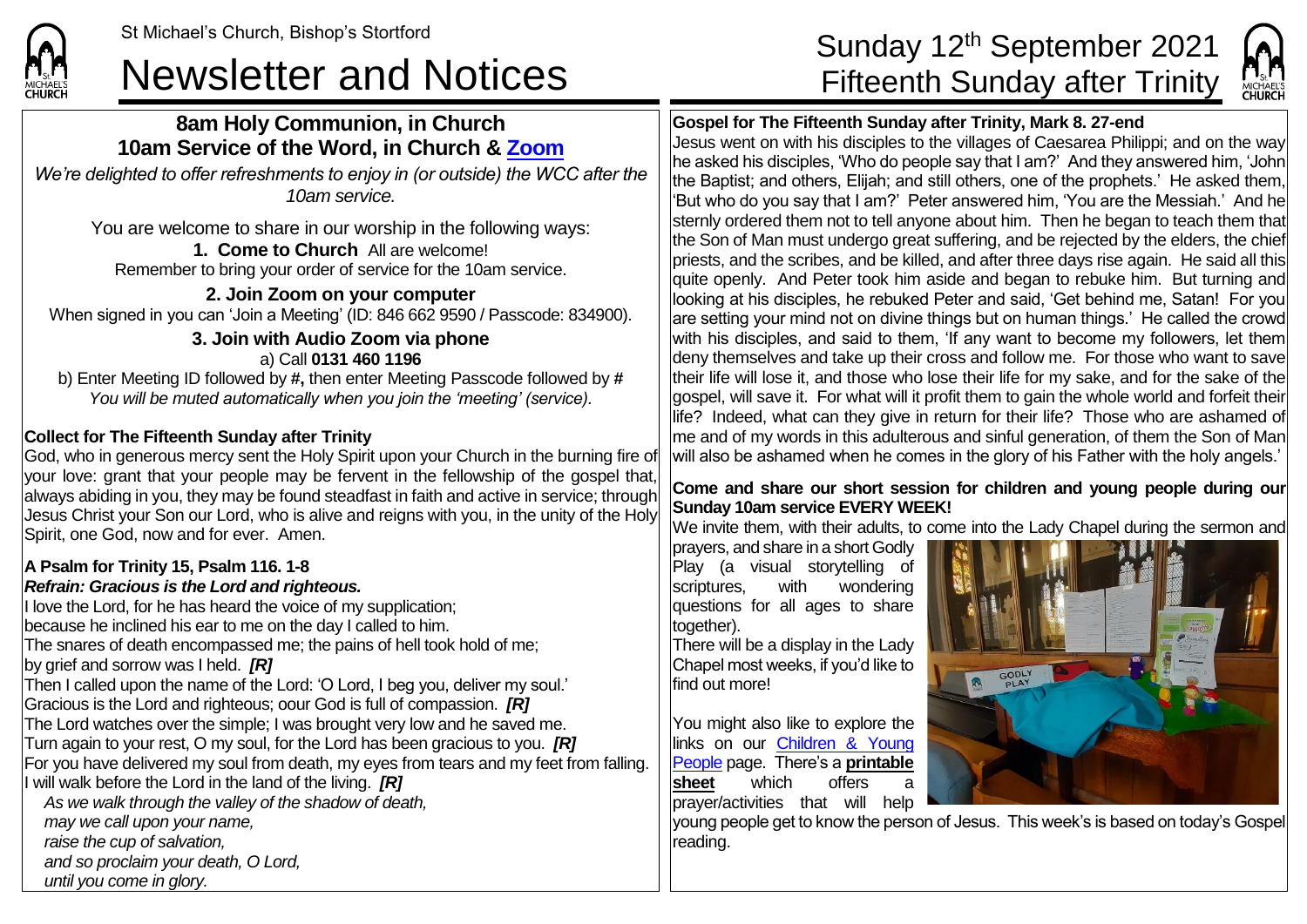# Newsletter and Notices<br>
Fifteenth Sunday after Trinity

## **8am Holy Communion, in Church 10am Service of the Word, in Church & [Zoom](https://zoom.us/)**

*We're delighted to offer refreshments to enjoy in (or outside) the WCC after the 10am service.*

You are welcome to share in our worship in the following ways: **1. Come to Church** All are welcome! Remember to bring your order of service for the 10am service.

**2. Join Zoom on your computer** When signed in you can 'Join a Meeting' (ID: 846 662 9590 / Passcode: 834900).

#### **3. Join with Audio Zoom via phone** a) Call **0131 460 1196**

b) Enter Meeting ID followed by **#,** then enter Meeting Passcode followed by **#** *You will be muted automatically when you join the 'meeting' (service).*

### **Collect for The Fifteenth Sunday after Trinity**

**CHURCH** 

God, who in generous mercy sent the Holy Spirit upon your Church in the burning fire of your love: grant that your people may be fervent in the fellowship of the gospel that, always abiding in you, they may be found steadfast in faith and active in service; through Jesus Christ your Son our Lord, who is alive and reigns with you, in the unity of the Holy Spirit, one God, now and for ever. Amen.

#### **A Psalm for Trinity 15, Psalm 116. 1-8** *Refrain: Gracious is the Lord and righteous.*

If love the Lord, for he has heard the voice of my supplication: because he inclined his ear to me on the day I called to him. The snares of death encompassed me; the pains of hell took hold of me; by grief and sorrow was I held. *[R]* Then I called upon the name of the Lord: 'O Lord, I beg you, deliver my soul.' Gracious is the Lord and righteous; oour God is full of compassion. *[R]* The Lord watches over the simple; I was brought very low and he saved me. Turn again to your rest, O my soul, for the Lord has been gracious to you. *[R]* For you have delivered my soul from death, my eyes from tears and my feet from falling. I will walk before the Lord in the land of the living. *[R] As we walk through the valley of the shadow of death, may we call upon your name, raise the cup of salvation,*

*and so proclaim your death, O Lord,*

*until you come in glory.*

# St Michael's Church, Bishop's Stortford **Sunday 12<sup>th</sup> September 2021**



## **Gospel for The Fifteenth Sunday after Trinity, Mark 8. 27-end**

Jesus went on with his disciples to the villages of Caesarea Philippi; and on the way he asked his disciples, 'Who do people say that I am?' And they answered him, 'John the Baptist; and others, Elijah; and still others, one of the prophets.' He asked them, 'But who do you say that I am?' Peter answered him, 'You are the Messiah.' And he sternly ordered them not to tell anyone about him. Then he began to teach them that the Son of Man must undergo great suffering, and be rejected by the elders, the chief priests, and the scribes, and be killed, and after three days rise again. He said all this quite openly. And Peter took him aside and began to rebuke him. But turning and looking at his disciples, he rebuked Peter and said, 'Get behind me, Satan! For you are setting your mind not on divine things but on human things.' He called the crowd with his disciples, and said to them, 'If any want to become my followers, let them deny themselves and take up their cross and follow me. For those who want to save their life will lose it, and those who lose their life for my sake, and for the sake of the gospel, will save it. For what will it profit them to gain the whole world and forfeit their life? Indeed, what can they give in return for their life? Those who are ashamed of me and of my words in this adulterous and sinful generation, of them the Son of Man will also be ashamed when he comes in the glory of his Father with the holy angels.'

#### **Come and share our short session for children and young people during our Sunday 10am service EVERY WEEK!**

We invite them, with their adults, to come into the Lady Chapel during the sermon and

prayers, and share in a short Godly Play (a visual storytelling of scriptures, with wondering questions for all ages to share together).

There will be a display in the Lady Chapel most weeks, if you'd like to find out more!

You might also like to explore the links on our Children & Young [People](https://saintmichaelweb.org.uk/Groups/310496/Children_and_Young.aspx) page. There's a **[printable](https://saintmichaelweb.org.uk/Groups/310496/Children_and_Young.aspx)  [sheet](https://saintmichaelweb.org.uk/Groups/310496/Children_and_Young.aspx)** which offers a prayer/activities that will help



young people get to know the person of Jesus. This week's is based on today's Gospel reading.